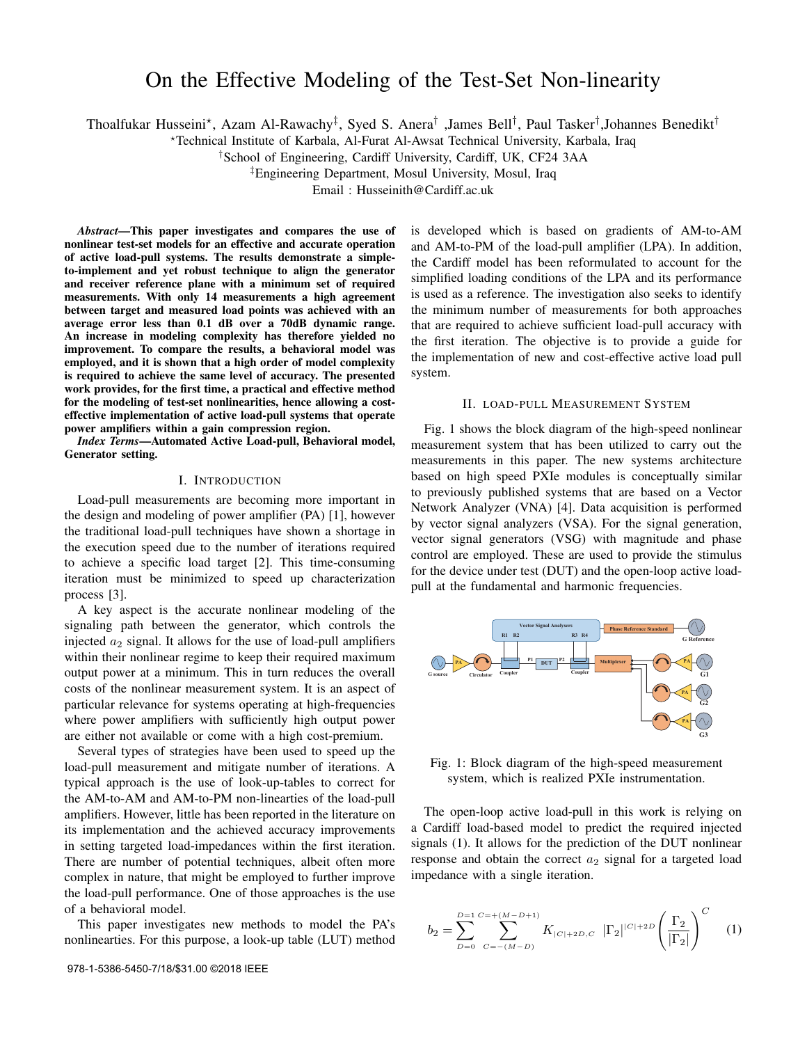# On the Effective Modeling of the Test-Set Non-linearity

Thoalfukar Husseini\*, Azam Al-Rawachy<sup>‡</sup>, Syed S. Anera<sup>†</sup> ,James Bell<sup>†</sup>, Paul Tasker<sup>†</sup>,Johannes Benedikt<sup>†</sup>

?Technical Institute of Karbala, Al-Furat Al-Awsat Technical University, Karbala, Iraq

†School of Engineering, Cardiff University, Cardiff, UK, CF24 3AA

‡Engineering Department, Mosul University, Mosul, Iraq

Email : Husseinith@Cardiff.ac.uk

*Abstract*—This paper investigates and compares the use of nonlinear test-set models for an effective and accurate operation of active load-pull systems. The results demonstrate a simpleto-implement and yet robust technique to align the generator and receiver reference plane with a minimum set of required measurements. With only 14 measurements a high agreement between target and measured load points was achieved with an average error less than 0.1 dB over a 70dB dynamic range. An increase in modeling complexity has therefore yielded no improvement. To compare the results, a behavioral model was employed, and it is shown that a high order of model complexity is required to achieve the same level of accuracy. The presented work provides, for the first time, a practical and effective method for the modeling of test-set nonlinearities, hence allowing a costeffective implementation of active load-pull systems that operate power amplifiers within a gain compression region.

*Index Terms*—Automated Active Load-pull, Behavioral model, Generator setting.

## I. INTRODUCTION

Load-pull measurements are becoming more important in the design and modeling of power amplifier (PA) [1], however the traditional load-pull techniques have shown a shortage in the execution speed due to the number of iterations required to achieve a specific load target [2]. This time-consuming iteration must be minimized to speed up characterization process [3].

A key aspect is the accurate nonlinear modeling of the signaling path between the generator, which controls the injected  $a_2$  signal. It allows for the use of load-pull amplifiers within their nonlinear regime to keep their required maximum output power at a minimum. This in turn reduces the overall costs of the nonlinear measurement system. It is an aspect of particular relevance for systems operating at high-frequencies where power amplifiers with sufficiently high output power are either not available or come with a high cost-premium.

Several types of strategies have been used to speed up the load-pull measurement and mitigate number of iterations. A typical approach is the use of look-up-tables to correct for the AM-to-AM and AM-to-PM non-linearties of the load-pull amplifiers. However, little has been reported in the literature on its implementation and the achieved accuracy improvements in setting targeted load-impedances within the first iteration. There are number of potential techniques, albeit often more complex in nature, that might be employed to further improve the load-pull performance. One of those approaches is the use of a behavioral model.

This paper investigates new methods to model the PA's nonlinearties. For this purpose, a look-up table (LUT) method is developed which is based on gradients of AM-to-AM and AM-to-PM of the load-pull amplifier (LPA). In addition, the Cardiff model has been reformulated to account for the simplified loading conditions of the LPA and its performance is used as a reference. The investigation also seeks to identify the minimum number of measurements for both approaches that are required to achieve sufficient load-pull accuracy with the first iteration. The objective is to provide a guide for the implementation of new and cost-effective active load pull system.

## II. LOAD-PULL MEASUREMENT SYSTEM

Fig. 1 shows the block diagram of the high-speed nonlinear measurement system that has been utilized to carry out the measurements in this paper. The new systems architecture based on high speed PXIe modules is conceptually similar to previously published systems that are based on a Vector Network Analyzer (VNA) [4]. Data acquisition is performed by vector signal analyzers (VSA). For the signal generation, vector signal generators (VSG) with magnitude and phase control are employed. These are used to provide the stimulus for the device under test (DUT) and the open-loop active loadpull at the fundamental and harmonic frequencies.



Fig. 1: Block diagram of the high-speed measurement system, which is realized PXIe instrumentation.

The open-loop active load-pull in this work is relying on a Cardiff load-based model to predict the required injected signals (1). It allows for the prediction of the DUT nonlinear response and obtain the correct  $a_2$  signal for a targeted load impedance with a single iteration.

$$
b_2 = \sum_{D=0}^{D=1} \sum_{C=-(M-D)}^{C=+(M-D+1)} K_{|C|+2D,C} \left| \Gamma_2 \right| |C|+2D \left( \frac{\Gamma_2}{|\Gamma_2|} \right)^C \tag{1}
$$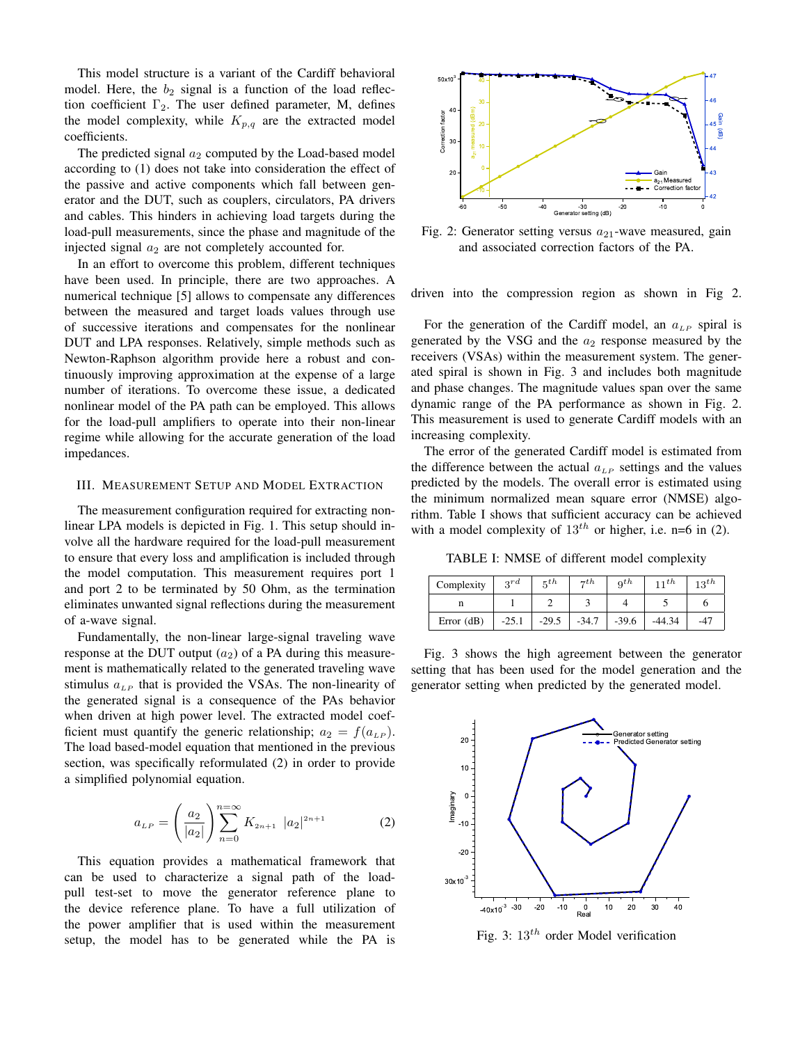This model structure is a variant of the Cardiff behavioral model. Here, the  $b_2$  signal is a function of the load reflection coefficient  $\Gamma_2$ . The user defined parameter, M, defines the model complexity, while  $K_{p,q}$  are the extracted model coefficients.

The predicted signal  $a_2$  computed by the Load-based model according to (1) does not take into consideration the effect of the passive and active components which fall between generator and the DUT, such as couplers, circulators, PA drivers and cables. This hinders in achieving load targets during the load-pull measurements, since the phase and magnitude of the injected signal  $a_2$  are not completely accounted for.

In an effort to overcome this problem, different techniques have been used. In principle, there are two approaches. A numerical technique [5] allows to compensate any differences between the measured and target loads values through use of successive iterations and compensates for the nonlinear DUT and LPA responses. Relatively, simple methods such as Newton-Raphson algorithm provide here a robust and continuously improving approximation at the expense of a large number of iterations. To overcome these issue, a dedicated nonlinear model of the PA path can be employed. This allows for the load-pull amplifiers to operate into their non-linear regime while allowing for the accurate generation of the load impedances.

## III. MEASUREMENT SETUP AND MODEL EXTRACTION

The measurement configuration required for extracting nonlinear LPA models is depicted in Fig. 1. This setup should involve all the hardware required for the load-pull measurement to ensure that every loss and amplification is included through the model computation. This measurement requires port 1 and port 2 to be terminated by 50 Ohm, as the termination eliminates unwanted signal reflections during the measurement of a-wave signal.

Fundamentally, the non-linear large-signal traveling wave response at the DUT output  $(a_2)$  of a PA during this measurement is mathematically related to the generated traveling wave stimulus  $a_{LP}$  that is provided the VSAs. The non-linearity of the generated signal is a consequence of the PAs behavior when driven at high power level. The extracted model coefficient must quantify the generic relationship;  $a_2 = f(a_{LP})$ . The load based-model equation that mentioned in the previous section, was specifically reformulated (2) in order to provide a simplified polynomial equation.

$$
a_{LP} = \left(\frac{a_2}{|a_2|}\right) \sum_{n=0}^{n=\infty} K_{2n+1} |a_2|^{2n+1}
$$
 (2)

This equation provides a mathematical framework that can be used to characterize a signal path of the loadpull test-set to move the generator reference plane to the device reference plane. To have a full utilization of the power amplifier that is used within the measurement setup, the model has to be generated while the PA is



Fig. 2: Generator setting versus  $a_{21}$ -wave measured, gain and associated correction factors of the PA.

driven into the compression region as shown in Fig 2.

For the generation of the Cardiff model, an  $a_{LP}$  spiral is generated by the VSG and the  $a_2$  response measured by the receivers (VSAs) within the measurement system. The generated spiral is shown in Fig. 3 and includes both magnitude and phase changes. The magnitude values span over the same dynamic range of the PA performance as shown in Fig. 2. This measurement is used to generate Cardiff models with an increasing complexity.

The error of the generated Cardiff model is estimated from the difference between the actual  $a_{LP}$  settings and the values predicted by the models. The overall error is estimated using the minimum normalized mean square error (NMSE) algorithm. Table I shows that sufficient accuracy can be achieved with a model complexity of  $13^{th}$  or higher, i.e. n=6 in (2).

TABLE I: NMSE of different model complexity

| Complexity   | 3rd     | $\mathbf{5}$ th | $\tau$ th | $q$ th  | 11th     | $13^{th}$ |
|--------------|---------|-----------------|-----------|---------|----------|-----------|
| 11           |         |                 |           |         |          |           |
| Error $(dB)$ | $-25.1$ | $-29.5$         | $-34.7$   | $-39.6$ | $-44.34$ | $-47$     |

Fig. 3 shows the high agreement between the generator setting that has been used for the model generation and the generator setting when predicted by the generated model.



Fig. 3:  $13^{th}$  order Model verification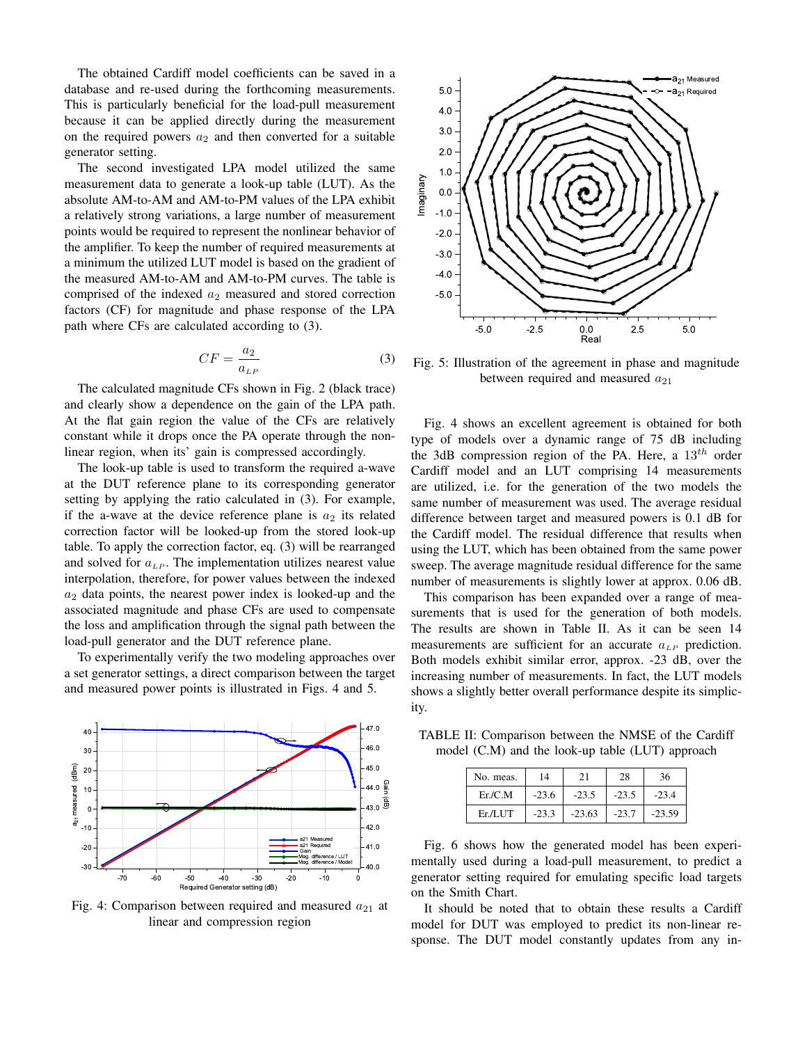The obtained Cardiff model coefficients can be saved in a database and re-used during the forthcoming measurements. This is particularly beneficial for the load-pull measurement because it can be applied directly during the measurement on the required powers  $a_2$  and then converted for a suitable generator setting.

The second investigated LPA model utilized the same measurement data to generate a look-up table (LUT). As the absolute AM-to-AM and AM-to-PM values of the LPA exhibit a relatively strong variations, a large number of measurement points would be required to represent the nonlinear behavior of the amplifier. To keep the number of required measurements at a minimum the utilized LUT model is based on the gradient of the measured AM-to-AM and AM-to-PM curves. The table is comprised of the indexed  $a_2$  measured and stored correction factors (CF) for magnitude and phase response of the LPA path where CFs are calculated according to (3).

$$
CF = \frac{a_2}{a_{LP}}\tag{3}
$$

The calculated magnitude CFs shown in Fig. 2 (black trace) and clearly show a dependence on the gain of the LPA path. At the flat gain region the value of the CFs are relatively constant while it drops once the PA operate through the nonlinear region, when its' gain is compressed accordingly.

The look-up table is used to transform the required a-wave at the DUT reference plane to its corresponding generator setting by applying the ratio calculated in (3). For example, if the a-wave at the device reference plane is  $a_2$  its related correction factor will be looked-up from the stored look-up table. To apply the correction factor, eq. (3) will be rearranged and solved for  $a_{LP}$ . The implementation utilizes nearest value interpolation, therefore, for power values between the indexed  $a_2$  data points, the nearest power index is looked-up and the associated magnitude and phase CFs are used to compensate the loss and amplification through the signal path between the load-pull generator and the DUT reference plane.

To experimentally verify the two modeling approaches over a set generator settings, a direct comparison between the target and measured power points is illustrated in Figs. 4 and 5.



Fig. 4: Comparison between required and measured  $a_{21}$  at linear and compression region



Fig. 5: Illustration of the agreement in phase and magnitude between required and measured  $a_{21}$ 

Fig. 4 shows an excellent agreement is obtained for both type of models over a dynamic range of 75 dB including the 3dB compression region of the PA. Here, a  $13<sup>th</sup>$  order Cardiff model and an LUT comprising 14 measurements are utilized, i.e. for the generation of the two models the same number of measurement was used. The average residual difference between target and measured powers is 0.1 dB for the Cardiff model. The residual difference that results when using the LUT, which has been obtained from the same power sweep. The average magnitude residual difference for the same number of measurements is slightly lower at approx. 0.06 dB.

This comparison has been expanded over a range of measurements that is used for the generation of both models. The results are shown in Table II. As it can be seen 14 measurements are sufficient for an accurate  $a_{LP}$  prediction. Both models exhibit similar error, approx. -23 dB, over the increasing number of measurements. In fact, the LUT models shows a slightly better overall performance despite its simplicity.

TABLE II: Comparison between the NMSE of the Cardiff model (C.M) and the look-up table (LUT) approach

| No. meas. | 14      | 21       | 28      | 36       |
|-----------|---------|----------|---------|----------|
| Er/C.M    | $-23.6$ | $-23.5$  | $-23.5$ | $-23.4$  |
| Er/LI     | $-23.3$ | $-23.63$ | $-23.7$ | $-23.59$ |

Fig. 6 shows how the generated model has been experimentally used during a load-pull measurement, to predict a generator setting required for emulating specific load targets on the Smith Chart.

It should be noted that to obtain these results a Cardiff model for DUT was employed to predict its non-linear response. The DUT model constantly updates from any in-